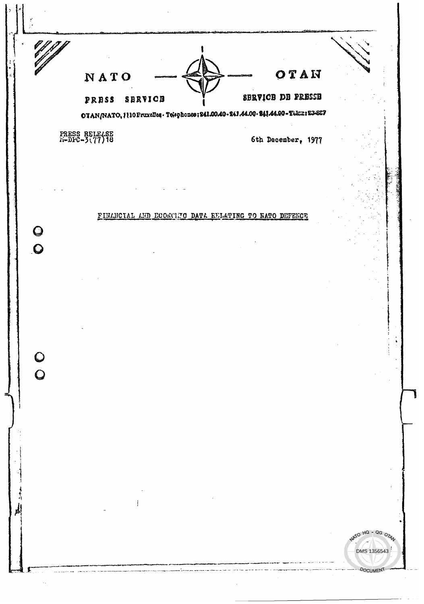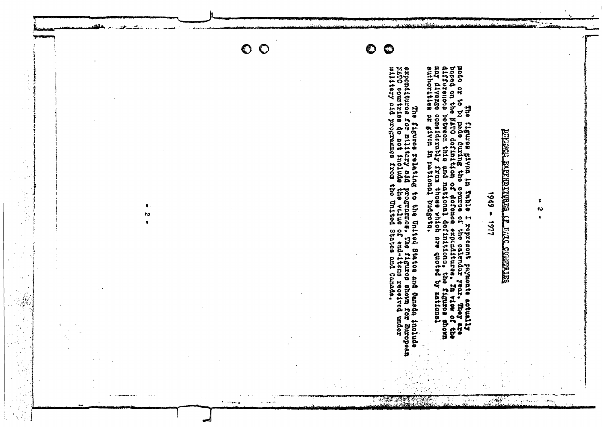

**Tommer** 

 $\mathcal{L}$  and  $\mathcal{L}$ 

حقه

÷,

 $\pmb{\ast}$ **N** 

 $\bullet$ 

# **BETHERRY OF THE SERVE CRITERIST AND LESS**

 $1161 - 6861$ 

 $\sim$ 

 $\sim$ 

ومرادة

 $\sim P(t)_{\rm eq}$ 

37

 $\sim$   $\sim$   $\sim$   $\sim$ 

أورقه ورياد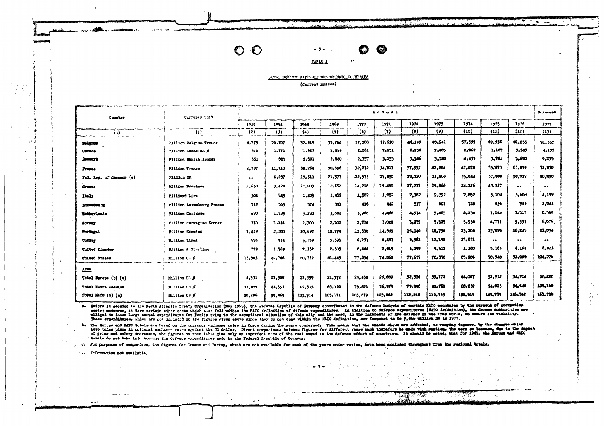# $\circ \circ$

**TAFLS 1** 

O

I LANGSI

C.)

### TOTAL DEFENCE. EXPENDITURES OF NATO COUNTRIES (Current prices)

 $-5 -$ 

|                          |                           |                  |        |         |         |         |         |                     | and a more than the company of the company of the first section of the company of the company of the company of the company of the company of the company of the company of the company of the company of the company of the c |         |           |                  |                  |
|--------------------------|---------------------------|------------------|--------|---------|---------|---------|---------|---------------------|--------------------------------------------------------------------------------------------------------------------------------------------------------------------------------------------------------------------------------|---------|-----------|------------------|------------------|
| Contribute               | Currency Unit             | Actual           |        |         |         |         |         |                     |                                                                                                                                                                                                                                |         |           | <b>Toronat</b>   |                  |
|                          |                           | 1949             | 1954   | 1960    | 1969    | 1970    | 1971    | 1972                | 1975                                                                                                                                                                                                                           | 1974    | 1975      | 1976             | 1277             |
| (o)                      | $\{1\}$                   | (2)              | (3)    | (4)     | (5)     | (6)     | (7)     | $\langle 0 \rangle$ | (9)                                                                                                                                                                                                                            | (10)    | (11)      | (12)             | (15)             |
| Bolgian                  | Fillien Belgian Trance    | 9.775            | 20,707 | 32.319  | 33.754  | 37,388  | 59.670  | 44.140              | 48,941                                                                                                                                                                                                                         | 57,595  | 69.936    | 81.055           | 91.350           |
| <b>Canada</b>            | Million Danadian E        | -372             | 2.77.  | 1.927   | 1,899   | 2,061   | 2,131   | 2,230               | 2,405                                                                                                                                                                                                                          | 2,062   | 5,127     | 3.569            | 4,133            |
| <b>Demandrit</b>         | Fillica Denish Kroner     | 360              | 085    | 2.591   | 2.640   | 2,757   | 3,195   | 3,566               | 3,520                                                                                                                                                                                                                          | 4,439   | 5,281     | 5,680            | 5,755            |
| Trance                   | Milion France             | 4,767            | 11,710 | 30.264  | 50.696  | 32.672  | 34,307  | 57,992              | 42,284                                                                                                                                                                                                                         | 47.678  | 35.873    | 65.899           | 71.030           |
| Fed. Sep. of Cermany (s) | Million IM                | $\bullet\bullet$ | 6,287  | 19.510  | 21,577  | 22,575  | 25,450  | 26,720              | 51,908                                                                                                                                                                                                                         | 35,644  | 37,509    | 38,922           | 40,000           |
| Greece                   | Million Drachmae          | 1.630            | 3,428  | 11.003  | 12.762  | 14,208  | 15.400  | 27.211              | 19,866                                                                                                                                                                                                                         | 24.126  | 43.917    |                  |                  |
| Italy                    | <b>Milliard Lire</b>      | 301              | 543    | 1,403   | 1,412   | 1.562   | 1,852   | 2,162               | 2.392                                                                                                                                                                                                                          | 2.052   | 5,104     | 3.600            | 4,199            |
| Lexuations               | Million Laxembourg Francs | 112              | 565    | 374     | 391     | 416     | .642    | 517                 | <b>LOL</b>                                                                                                                                                                                                                     | 710     | 836       | 983              | 1,044            |
| <b>Wetherlands</b>       | Million Guilders          | 680              | 1,583  | 3,280   | 3,602   | 3.360   | 4,466   | 4,574               | 5.465                                                                                                                                                                                                                          | 6,254   | 7.246     | $7 - 217$        | 8,500            |
| <b>Boreage</b>           | Million Norwegian Eroner  | 570              | 1,101  | 2,300   | 2,502   | 2,774   | 3,022   | 5,259               | 3.505                                                                                                                                                                                                                          | 5,936   | 4.771     | 5.555            | 6,076            |
| Portugal                 | Million Escudos           | 1,419            | 2,100  | 10.697  | 10,779  | 12,538  | 14.699  | 26,046              | 16.736                                                                                                                                                                                                                         | 25,108  | 19.098    | 18,245           | 21,094           |
| Turker                   | Million Liras             | -556             | 934    | 5.159   | 5.395   | 6,237   | 6,487   | 9.961               | 12,192                                                                                                                                                                                                                         | 15.651  | $\bullet$ | $\bullet\bullet$ | $\bullet\bullet$ |
| United Eingdom           | Million & Sterling        | 779              | 1,569  | 2,332   | 2.503   | 2,444   | 2,015   | 3,250               | 5,512                                                                                                                                                                                                                          | 4,160   | 5.165     | 6.162            | 6,023            |
| United States            | $M111$ ion $C3$ $K$       | 15.503           | 42,706 | 80,732  | 81,443  | 77,854  | 74,062  | 77.639              | 78,558                                                                                                                                                                                                                         | 85,906  | 90.948    | 91,000           | 104,226          |
| 歴                        |                           |                  |        |         |         |         |         |                     |                                                                                                                                                                                                                                |         |           |                  |                  |
| Total Darope (b) (c)     | Million US &              | 4,531            | 11,306 | 21.399  | 21.972  | 25,456  | 26,889  | 52.314              | 39,172                                                                                                                                                                                                                         | 44.007  | 51.952    | 51.514           | 57.152           |
| Total Burth America      | <b>Million</b> UU A       | 13.575           | 44,557 | 92.915  | 89,199  | 79,821  | 76,973  | 79,890              | 80.761                                                                                                                                                                                                                         | 68,852  | 94,023    | 94.548           | 100,160          |
| Total Mif0 $(b)$ $(c)$   | Fillion US #              | 18,406           | 55.865 | 105,914 | 105,171 | 103,279 | 103,062 | 112,212             | 119,933                                                                                                                                                                                                                        | 132,919 | 145,955   | 146,562          | 145.350          |

s. Defore it acceded to the North Atlantic Traty Organisation (May 1955), the Pederal Espahlio of Germany contributed to the defence budgets of certain MATO constries by the payment of compation contributes are formed that

h. The Surpe and HATO totals are beed on the currency exchange rates in force during the prare occessed. This means that the trends shows are affected, to waying degrees, by the changes which had crime on the currency exch

c. For purposes of comparison, the figures for Greece and Turkey, which are not available for sech of the years under review, have availaded throughout from the regional totals.

 $\blacksquare$ 

ra le

 $\mathfrak{g}_{\mathbb{C}}$  .

.. Information not evailable.

 $\sim$   $\sim$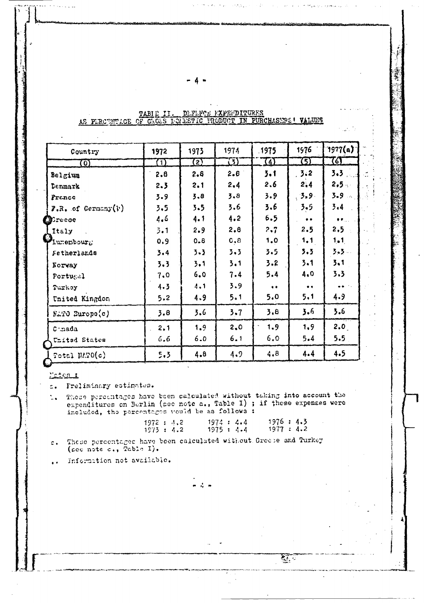| Country                      | 1972 | 1973                  | 1974                     | .1975      | 1976      | 1977(a)             |
|------------------------------|------|-----------------------|--------------------------|------------|-----------|---------------------|
| $\Omega$                     | (1)  | $\boldsymbol{\Omega}$ | $\overline{\mathcal{L}}$ | <u>74)</u> | (5)       | $\bm{G}$            |
| Belgium                      | 2.8  | 2.8                   | 2.8                      | 3.1        | 3.2       | $3.3$ .             |
| Denmark                      | 2.3  | 2.1                   | 2.4                      | 2.6        | 2,4       | $2,5 -$             |
| France                       | 3.9  | 3.8                   | 3.8                      | 3.9        | .3.9.     | 3.9                 |
| <b>F.R.</b> of Germany $(v)$ | 3.5  | 3.5                   | 3.6                      | 3.6        | 3.5       | 3.4                 |
| <b>D</b> recoe               | 4.6  | 4.1                   | 4.2                      | 6.5        | $\bullet$ | $\bullet$ $\bullet$ |
| Italy                        | 3.1  | 2.9                   | 2,8                      | 2.7        | 2.5       | 2,5                 |
| Lunembourg                   | 0.9  | 0.8                   | 0,8                      | 1,0        | 1, 1      | 1.1                 |
| Fetherlands                  | 3.4  | $3 - 3$               | 3.3                      | 3.5        | 3.3       | $3.3 -$             |
| Eorway                       | 3.3  | 3.1                   | 3.1                      | 3.2        | 3.1       | 3.1                 |
| Portugal                     | 7.0  | 6,0                   | 7.4                      | 5.4        | 4.0       | 3.3                 |
| Turkey                       | 4.3  | 4.1                   | 3.9                      | $\bullet$  | $\bullet$ |                     |
| United Kingdon               | 5.2  | 4.9                   | 5.1                      | 5.0        | 5.1       | 4.9                 |
| ELTO Europe(c)               | 3,8  | 3.6                   | 3.7                      | 3.8        | 3.6       | 3.6                 |
| $C$ -nada                    | 2,1  | 1.9                   | 2,0                      | 1.9        | 1,9       | 2.0                 |
| United States                | 6,6  | 6.0                   | 6.1                      | 6.0        | 5.4       | 5.5                 |
| $R$ otel NAPO $(a)$          | 5.3  | 4.8                   | 4.9                      | 4.8        | 4.4       | 4.5                 |

TABIL II. DEFENCE FXPERIDITURES AS PERCENTIGE OF GROSS LONDETIC PRODUCT IN PURCHASERS! VALUES

ing the

### Matem :

s. Freliminary estimates.

These percentages have been calculated without taking into account the  $\mathbb{Z}[\mathbf{q}^{\pm 1}]$ expenditures on Berlin (pec note a., Table I) ; if these expenses were included, the percentages would be as follows :

| 1972 : 4.2 | 1974 : 4.4 | 1976 : 4.3 |
|------------|------------|------------|
| 1973 : 4.2 | 1975 : 4.4 | 1977 : 4.2 |

A.

These percentages have been calculated without Greese and Turkey  $\mathbf{c}$  . (see note c., Table I).

Information not available.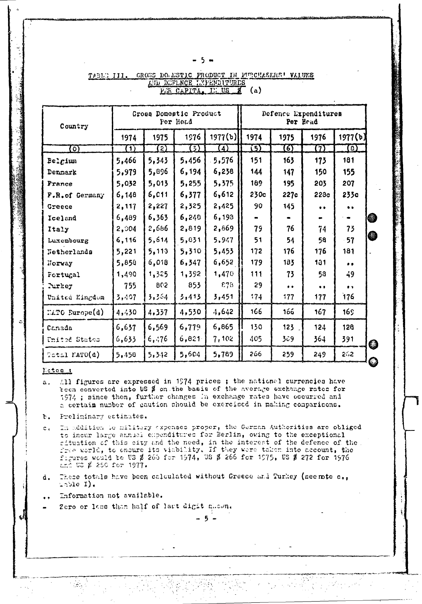| . .<br>×<br>۰. |
|----------------|
|----------------|

| Country            |                  |                           | Gross Domestic Product<br>Per Head |                | Defence Lxpenditures<br>Per Head |           |                      |                       |  |  |
|--------------------|------------------|---------------------------|------------------------------------|----------------|----------------------------------|-----------|----------------------|-----------------------|--|--|
|                    | 1974             | 1975                      | 1976                               | 1977(b)        | 1974                             | 1975      | 1976                 | 1977(b)               |  |  |
| $\Omega$           | $\mathbf \Omega$ | $\overline{\mathfrak{D}}$ | σΣ                                 | $\overline{4}$ | 迈                                | ত্য       | 91                   | $\boldsymbol{\Omega}$ |  |  |
| Belgium            | 5,466            | 5,343                     | 5,456                              | 5,576          | 151                              | 163       | 173                  | 181                   |  |  |
| Denmark            | 5,979            | 5,896                     | 6,194                              | 6,238          | 144                              | 147       | 150                  | 155                   |  |  |
| <b>France</b>      | 5,032            | 5,013                     | 5,255                              | 5,375          | 189                              | 195       | 203                  | 207                   |  |  |
| F.R.of Germany     | 6,148            | 6,011                     | 6,377                              | 6,612          | 230c                             | 227c      | 22 <sub>3c</sub>     | 233c                  |  |  |
| Greece             | 2,117            | 2,227                     | 2,325                              | 2,425          | 90                               | 145       | $\ddot{\phantom{0}}$ | $\bullet$             |  |  |
| Iceland            | 6,489            | 6,363                     | 6,248                              | 6,193          |                                  |           |                      |                       |  |  |
| Italy              | 2,804            | 2,686                     | 2,819                              | 2,669          | 79                               | 76        | 74                   | 73                    |  |  |
| Luxembourg         | 6,116            | 5,614                     | 5,831                              | 5,947          | 51                               | 54        | 58                   | 57                    |  |  |
| Netherlands        | 5,221            | 5,113                     | 5,310                              | 5,453          | 172                              | 176       | 176                  | 181                   |  |  |
| Norvay             | 5,850            | 6,018                     | 6,347                              | 6,652          | 179                              | 183       | 131                  |                       |  |  |
| Fortugal           | 1,490            | 1,325                     | 1,392                              | 1,470          | 111                              | 73        | 58                   | 49                    |  |  |
| <b>Nirkey</b>      | 755              | 802                       | 853                                | 678            | 29                               | $\bullet$ | $\bullet$            | $\bullet$             |  |  |
| United Kingdom     | 3,407            | 3,364                     | 3,413                              | 3,451          | 174                              | 177       | 177                  | 176                   |  |  |
| ELTO Europe(d)     | 4,430            | 4,337                     | 4,530                              | 4,642          | 166                              | 166       | 167                  | 16S                   |  |  |
| Canada             | 6,637            | 6,569                     | 6,779                              | 6,865          | 130                              | 123       | 124                  | 128                   |  |  |
| United States      | 6,633            | 6,476                     | 6,821                              | 7,102          | 405                              | 309       | 364                  | 391                   |  |  |
| $TestI$ MATO $(d)$ | 5,458            | 5,342                     | 5,604                              | 5,789          | 266                              | 259       | 249                  | 262                   |  |  |

### TABLE III. GROSS DO ESTIC PRODUCT IN PURCHASEMS' VALUES AND DEFLNCE EXPENDITURES PER CAPITA,  $E: US \tg (a)$

## Estes 1

- All figures are expressed in 1974 prices ; the national currencies have a. been converted into US \$ on the basis of the average exchange rates for 1974 ; since then, further changes in exchange rates have occurred and a certain number of caution should be exercised in making comparisons.
- Preliminary estimates. ъ.
- In addition to military expenses proper, the Gorman Authorities are obliged  $\mathbb{C}$  . to incur large annual expenditures for Berlin, owing to the exceptional situation of this city and the need, in the interest of the defence of the. free world, to ensure its viability. If they were taken into account, the figures would be US \$ 266 for 1974, US \$ 266 for 1975, US \$ 272 for 1976  $2.52 \times 250$  for 1977.
- These totals have been calculated without Greece and Turkey (seemte c., d. Table  $I$ ).
- Information not available.

 $\mathcal{L}_{\mathcal{F}}$ 

Zero or less than half of lart digit ghown.

-5-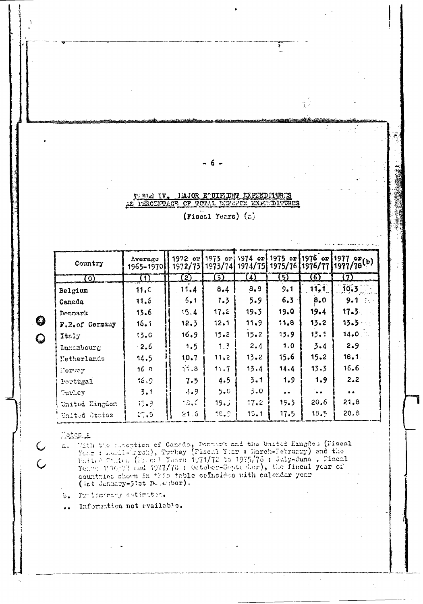### TIBLE IV. HAJOR EQUIPIENT EXPENDITURES AS PERCEDIMACY OF TOTAL DEFENCE EXPREDITURES

- 6 -

(Fiscal Years) (a)

Ï

음료.

| Country        | Average<br>1965–1970) | 1972 orl<br>1972/73 |         |          | $\{1973 \text{ or } 1974 \text{ or } 1975 \text{ or } 1976 \text{ or } 1977\}$ |           | 1973/74 1974/75 1975/76 1976/77 1977/78(b) |
|----------------|-----------------------|---------------------|---------|----------|--------------------------------------------------------------------------------|-----------|--------------------------------------------|
| $\circ$        | $\bf (1)$             | $\mathbf{2}$        | 3)      | $\Delta$ | 5)                                                                             | 6)        | (7)                                        |
| Belgium        | 11.0                  | 11.4                | 8.4     | 8.9      | 9.1                                                                            | 11.1      | 10.3                                       |
| Canada         | 11.5                  | 5.1                 | 7.3     | 5.9      | 6.3                                                                            | 8.0       | $9 - 1$ in the set                         |
| Denmark        | 13.6                  | 15.4                | 17.2    | 19.3     | 19.0                                                                           | 19.4      | 17.3                                       |
| F.R.of Germany | 16.1                  | 12.5                | 12.1    | 11.9     | 11,8                                                                           | 13.2      | 13.3                                       |
| Italy          | 13.0                  | 16.9                | 15.2    | 15.2     | 13.9                                                                           | 13.1      | 14.0                                       |
| Luxenbourg     | $\cdot$ 2.6           | 1.5                 | $1 - 3$ | 2.4      | 1.0                                                                            | 3.4       | 2.9                                        |
| Metherlands    | 14.5                  | 10.7                | 11, 2   | 13.2     | 15.6                                                                           | 15.2      | 16.1 <sub>1</sub>                          |
| Horway         | 16.8                  | 11, 3               | 11.7    | 13.4     | 14.4                                                                           | 13.3      | 16.6                                       |
| Portugal       | 16.9                  | 7.5                 | 4.5     | 3.1      | 1.9                                                                            | 1, 9      | 2.2                                        |
| Turliev        | 3.1                   | 4.9                 | 5.0     | 3.0      | $\bullet$                                                                      | $\bullet$ | $\bullet$                                  |
| United Kingdom | 15.9                  | ia.c                | 19.1    | 17.2     | 19.3                                                                           | 20.6      | 21.8                                       |
| United States  | 27.3                  | 21.6                | 19.9    | 13.1     | 17.5                                                                           | 18.5      | 20.8                                       |

**Motopul** 

 $\bullet$ 

 $\hat{Q}$ 

C

 $\overline{C}$ 

With the prosption of Canada, Dennark and the United Eingdom (Fiscal Yong : April- Arch), Turkey (Fiscal Yong : Harch-February) and the United Citates (Fiscal Yong : Harch 1977/72 to 1975/76 : Jaly-June ; Fiscal Yong 1996/  $\overline{a}$ countmies shown in this table collections with calendar year (ist January-Jist Deterber).

b. Prilicinary estimation.

Information not evailable.  $\ddot{\phantom{a}}$